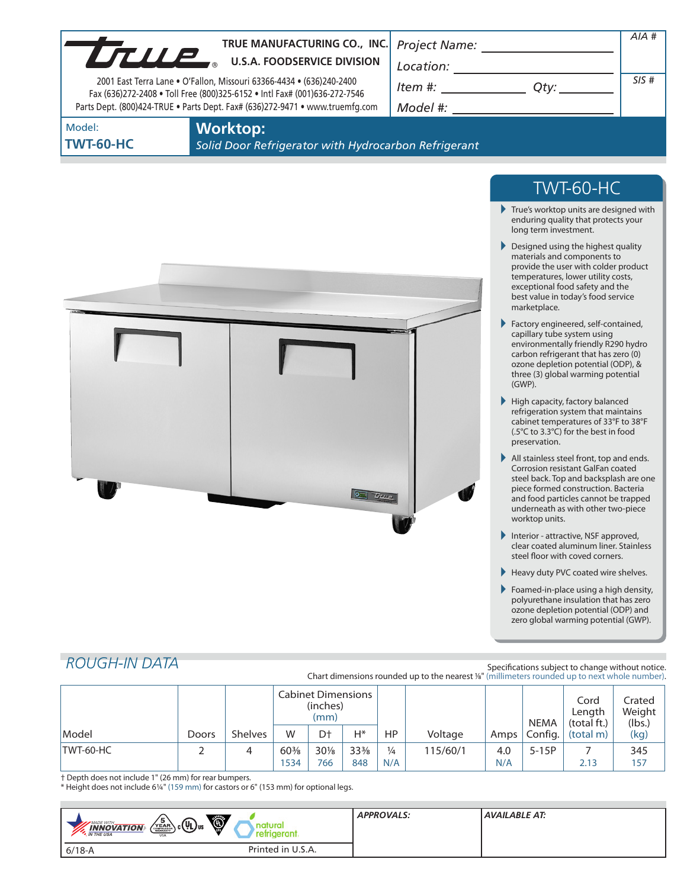|                            | TRUE MANUFACTURING CO., INC.<br>TRUE MANUFACTURING CO., INC<br>2001 East Terra Lane . O'Fallon, Missouri 63366-4434 . (636)240-2400<br>Fax (636)272-2408 . Toll Free (800)325-6152 . Intl Fax# (001)636-272-7546<br>Parts Dept. (800)424-TRUE . Parts Dept. Fax# (636)272-9471 . www.truemfg.com | Project Name: ______________________<br>$\begin{array}{c}\n\text{Location:}\n\\ \hline\n\text{Item } \#: \begin{array}{c}\n\hline\n\end{array} Q \text{ty:}\n\end{array}$ | AIA #<br>SIS#                                                                                                                                                                                                                                                                                                                                                                                                                                                                                                                                                                                                                                                                                                                                                                                                                                                                                                                                                                                                                                                                                                                                                                                                                   |  |
|----------------------------|--------------------------------------------------------------------------------------------------------------------------------------------------------------------------------------------------------------------------------------------------------------------------------------------------|---------------------------------------------------------------------------------------------------------------------------------------------------------------------------|---------------------------------------------------------------------------------------------------------------------------------------------------------------------------------------------------------------------------------------------------------------------------------------------------------------------------------------------------------------------------------------------------------------------------------------------------------------------------------------------------------------------------------------------------------------------------------------------------------------------------------------------------------------------------------------------------------------------------------------------------------------------------------------------------------------------------------------------------------------------------------------------------------------------------------------------------------------------------------------------------------------------------------------------------------------------------------------------------------------------------------------------------------------------------------------------------------------------------------|--|
| Model:<br><b>TWT-60-HC</b> | <b>Worktop:</b><br>Solid Door Refrigerator with Hydrocarbon Refrigerant                                                                                                                                                                                                                          |                                                                                                                                                                           |                                                                                                                                                                                                                                                                                                                                                                                                                                                                                                                                                                                                                                                                                                                                                                                                                                                                                                                                                                                                                                                                                                                                                                                                                                 |  |
|                            | $0$ $T_{ture}$                                                                                                                                                                                                                                                                                   |                                                                                                                                                                           | <b>TWT-60-HC</b><br>$\blacktriangleright$ True's worktop units are designed with<br>enduring quality that protects your<br>long term investment.<br>Designed using the highest quality<br>materials and components to<br>provide the user with colder product<br>temperatures, lower utility costs,<br>exceptional food safety and the<br>best value in today's food service<br>marketplace.<br>Factory engineered, self-contained,<br>capillary tube system using<br>environmentally friendly R290 hydro<br>carbon refrigerant that has zero (0)<br>ozone depletion potential (ODP), &<br>three (3) global warming potential<br>(GWP).<br>$\blacktriangleright$ High capacity, factory balanced<br>refrigeration system that maintains<br>cabinet temperatures of 33°F to 38°F<br>(.5°C to 3.3°C) for the best in food<br>preservation.<br>All stainless steel front, top and ends.<br>Corrosion resistant GalFan coated<br>steel back. Top and backsplash are one<br>piece formed construction. Bacteria<br>and food particles cannot be trapped<br>underneath as with other two-piece<br>worktop units.<br>Interior - attractive, NSF approved,<br>clear coated aluminum liner. Stainless<br>steel floor with coved corners. |  |

Foamed-in-place using a high density, polyurethane insulation that has zero ozone depletion potential (ODP) and zero global warming potential (GWP).

# *ROUGH-IN DATA*

Specifications subject to change without notice. Chart dimensions rounded up to the nearest <sup>1</sup>/8" (millimeters rounded up to next whole number).

|           |       |                | <b>Cabinet Dimensions</b><br>(inches)<br>(mm) |                |                 |               |          | <b>NEMA</b> | Cord<br>Length<br>(total ft.) | Crated<br>Weight<br>(lbs.) |      |
|-----------|-------|----------------|-----------------------------------------------|----------------|-----------------|---------------|----------|-------------|-------------------------------|----------------------------|------|
| Model     | Doors | <b>Shelves</b> | W                                             | D <sup>+</sup> | $H^*$           | HP            | Voltage  | Amps        | Config.                       | (total m)                  | (kg) |
| TWT-60-HC |       |                | $60\%$                                        | 30%            | $33\frac{3}{8}$ | $\frac{1}{4}$ | 115/60/1 | 4.0         | $5-15P$                       |                            | 345  |
|           |       |                | 534                                           | 766            | 848             | N/A           |          | N/A         |                               | 2.13                       | 157  |

† Depth does not include 1" (26 mm) for rear bumpers.

\* Height does not include 61/4" (159 mm) for castors or 6" (153 mm) for optional legs.

| Ö,<br>$\left(\sum_{k=0}^{5}$ $c$ (UL) us<br><b>MADE WITH</b><br><b>INNOVATION</b><br>refrigerant.<br><b>M</b> THE USA<br><b>USA</b> | <b>APPROVALS:</b> | <b>AVAILABLE AT:</b> |
|-------------------------------------------------------------------------------------------------------------------------------------|-------------------|----------------------|
| Printed in U.S.A.<br>$6/18 - A$                                                                                                     |                   |                      |